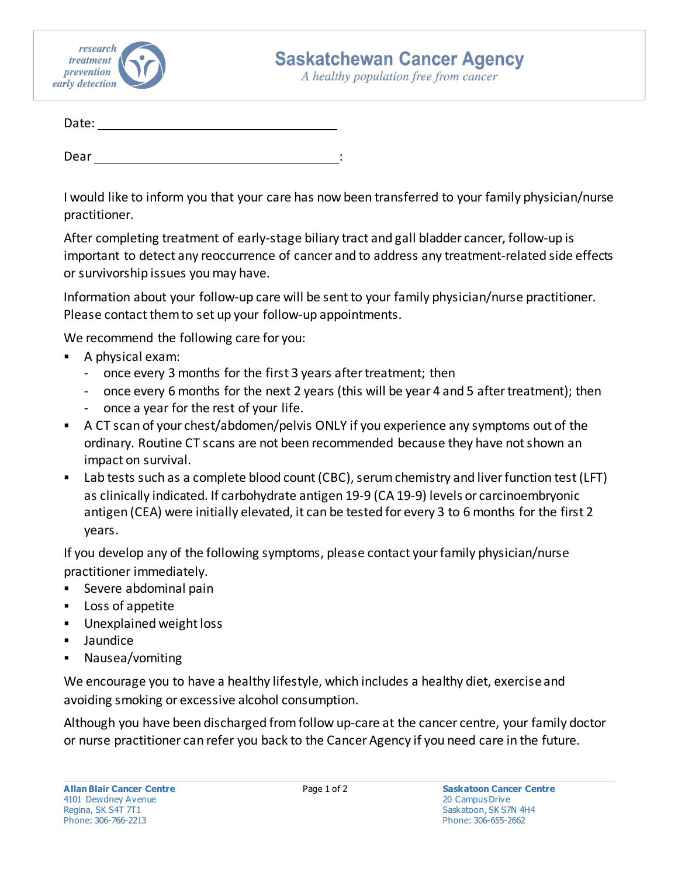

## **Saskatchewan Cancer Agency**

A healthy population free from cancer

| Date: |   |
|-------|---|
|       |   |
| Dear  | ٠ |

I would like to inform you that your care has now been transferred to your family physician/nurse practitioner.

After completing treatment of early-stage biliary tract and gall bladder cancer, follow-up is important to detect any reoccurrence of cancer and to address any treatment-related side effects or survivorship issues you may have.

Information about your follow-up care will be sent to your family physician/nurse practitioner. Please contact them to set up your follow-up appointments.

We recommend the following care for you:

- A physical exam:
	- once every 3 months for the first 3 years after treatment; then
	- once every 6 months for the next 2 years (this will be year 4 and 5 after treatment); then
	- once a year for the rest of your life.
- A CT scan of your chest/abdomen/pelvis ONLY if you experience any symptoms out of the ordinary. Routine CT scans are not been recommended because they have not shown an impact on survival.
- Lab tests such as a complete blood count (CBC), serum chemistry and liver function test (LFT) as clinically indicated. If carbohydrate antigen 19-9 (CA 19-9) levels or carcinoembryonic antigen (CEA) were initially elevated, it can be tested for every 3 to 6 months for the first 2 years.

If you develop any of the following symptoms, please contact your family physician/nurse practitioner immediately.

- Severe abdominal pain
- **Loss of appetite**
- **Unexplained weight loss**
- Jaundice
- Nausea/vomiting

We encourage you to have a healthy lifestyle, which includes a healthy diet, exercise and avoiding smoking or excessive alcohol consumption.

Although you have been discharged from follow up-care at the cancer centre, your family doctor or nurse practitioner can refer you back to the Cancer Agency if you need care in the future.